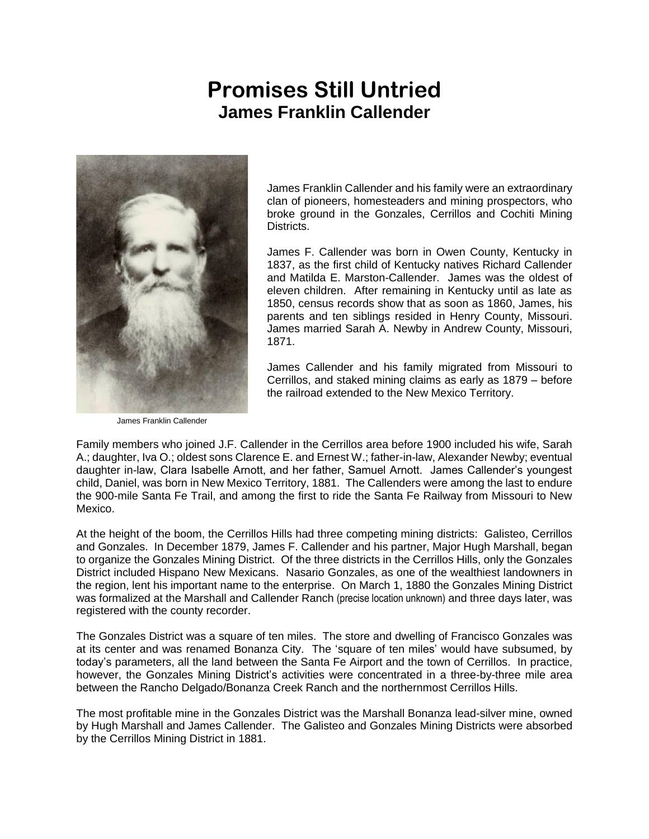## **Promises Still Untried** James Franklin Callender



James Franklin Callender

James Franklin Callender and his family were an extraordinary clan of pioneers, homesteaders and mining prospectors, who broke ground in the Gonzales, Cerrillos and Cochiti Mining Districts.

James F. Callender was born in Owen County, Kentucky in 1837, as the first child of Kentucky natives Richard Callender and Matilda E. Marston-Callender. James was the oldest of eleven children. After remaining in Kentucky until as late as 1850, census records show that as soon as 1860, James, his parents and ten siblings resided in Henry County, Missouri. James married Sarah A. Newby in Andrew County, Missouri, 1871.

James Callender and his family migrated from Missouri to Cerrillos, and staked mining claims as early as 1879 – before the railroad extended to the New Mexico Territory.

Family members who joined J.F. Callender in the Cerrillos area before 1900 included his wife, Sarah A.; daughter, Iva O.; oldest sons Clarence E. and Ernest W.; father-in-law, Alexander Newby; eventual daughter in-law, Clara Isabelle Arnott, and her father, Samuel Arnott. James Callender's youngest child, Daniel, was born in New Mexico Territory, 1881. The Callenders were among the last to endure the 900-mile Santa Fe Trail, and among the first to ride the Santa Fe Railway from Missouri to New Mexico.

At the height of the boom, the Cerrillos Hills had three competing mining districts: Galisteo, Cerrillos and Gonzales. In December 1879, James F. Callender and his partner, Major Hugh Marshall, began to organize the Gonzales Mining District. Of the three districts in the Cerrillos Hills, only the Gonzales District included Hispano New Mexicans. Nasario Gonzales, as one of the wealthiest landowners in the region, lent his important name to the enterprise. On March 1, 1880 the Gonzales Mining District was formalized at the Marshall and Callender Ranch (precise location unknown) and three days later, was registered with the county recorder.

The Gonzales District was a square of ten miles. The store and dwelling of Francisco Gonzales was at its center and was renamed Bonanza City. The 'square of ten miles' would have subsumed, by today's parameters, all the land between the Santa Fe Airport and the town of Cerrillos. In practice, however, the Gonzales Mining District's activities were concentrated in a three-by-three mile area between the Rancho Delgado/Bonanza Creek Ranch and the northernmost Cerrillos Hills.

The most profitable mine in the Gonzales District was the Marshall Bonanza lead-silver mine, owned by Hugh Marshall and James Callender. The Galisteo and Gonzales Mining Districts were absorbed by the Cerrillos Mining District in 1881.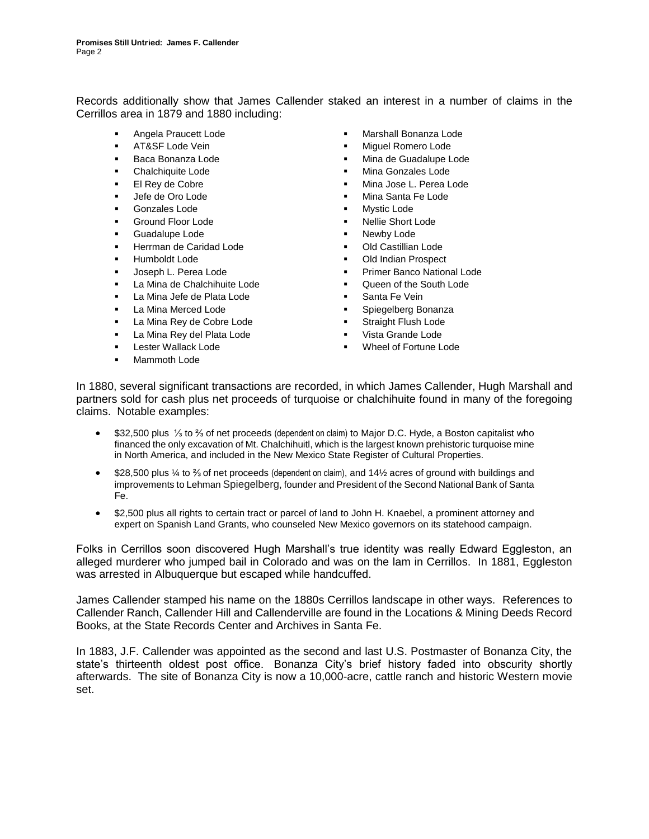Records additionally show that James Callender staked an interest in a number of claims in the Cerrillos area in 1879 and 1880 including:

- 
- 
- 
- 
- 
- 
- **Gonzales Lode** Mystic Lode
- 
- Guadalupe Lode **Figure 1** Newby Lode
- **Herrman de Caridad Lode <b>EXECUTE:** Old Castillian Lode
- 
- 
- La Mina de Chalchihuite Lode Queen of the South Lode
- La Mina Jefe de Plata Lode  **The Container Santa Fe Vein**
- 
- La Mina Rey de Cobre Lode **by Community Example 2** Straight Flush Lode
- La Mina Rey del Plata Lode **· · · · ·** Vista Grande Lode
- 
- Mammoth Lode
- Angela Praucett Lode **The Contract of Contract Angela Praucett Lode Research Contract Property** Marshall Bonanza Lode
- AT&SF Lode Vein **AT&SF** Lode Vein
- Baca Bonanza Lode Nina de Guadalupe Lode
	- Chalchiquite Lode Mina Gonzales Lode
	- El Rey de Cobre **El Rey de Cobre en El Rey de Cobre El Rey de Cobre en El Rey de Cobre en El Rey de Cobre en El Rey de Cobre en El Rey de Cobre en El Rey de Cobre en El Rey de Cobre en El Rey de L. Perea Lode**
	- **Lefe de Oro Lode The Contract of Contract Contract of Contract Contract Contract Penaming Santa Fe Lode** 
		-
	- Ground Floor Lode Nellie Short Lode
		-
		-
	- Humboldt Lode Old Indian Prospect
	- **Joseph L. Perea Lode The Contract Contract Primer Banco National Lode** 
		-
		-
	- La Mina Merced Lode **The Contract Except** Spiegelberg Bonanza
		-
		-
	- Lester Wallack Lode Wheel of Fortune Lode

In 1880, several significant transactions are recorded, in which James Callender, Hugh Marshall and partners sold for cash plus net proceeds of turquoise or chalchihuite found in many of the foregoing claims. Notable examples:

- \$32,500 plus ⅓ to ⅔ of net proceeds (dependent on claim) to Major D.C. Hyde, a Boston capitalist who financed the only excavation of Mt. Chalchihuitl, which is the largest known prehistoric turquoise mine in North America, and included in the New Mexico State Register of Cultural Properties.
- \$28,500 plus ¼ to ⅔ of net proceeds (dependent on claim), and 14½ acres of ground with buildings and improvements to Lehman Spiegelberg, founder and President of the Second National Bank of Santa Fe.
- \$2,500 plus all rights to certain tract or parcel of land to John H. Knaebel, a prominent attorney and expert on Spanish Land Grants, who counseled New Mexico governors on its statehood campaign.

Folks in Cerrillos soon discovered Hugh Marshall's true identity was really Edward Eggleston, an alleged murderer who jumped bail in Colorado and was on the lam in Cerrillos. In 1881, Eggleston was arrested in Albuquerque but escaped while handcuffed.

James Callender stamped his name on the 1880s Cerrillos landscape in other ways. References to Callender Ranch, Callender Hill and Callenderville are found in the *Locations & Mining Deeds Record Books,* at the State Records Center and Archives in Santa Fe.

In 1883, J.F. Callender was appointed as the second and last U.S. Postmaster of Bonanza City, the state's thirteenth oldest post office. Bonanza City's brief history faded into obscurity shortly afterwards. The site of Bonanza City is now a 10,000-acre, cattle ranch and historic Western movie set.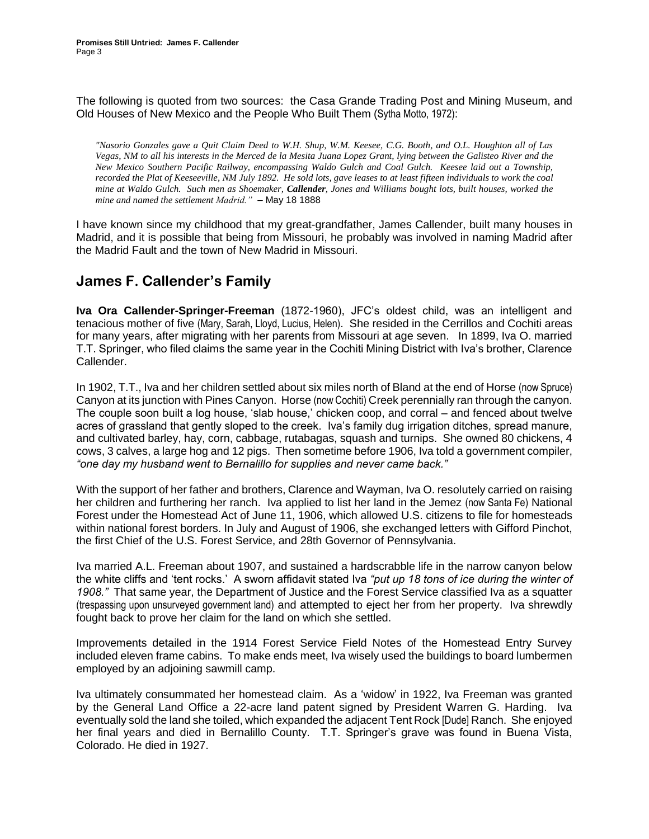The following is quoted from two sources: the Casa Grande Trading Post and Mining Museum, and *Old Houses of New Mexico and the People Who Built Them* (Sytha Motto, 1972):

*"Nasorio Gonzales gave a Quit Claim Deed to W.H. Shup, W.M. Keesee, C.G. Booth, and O.L. Houghton all of Las Vegas, NM to all his interests in the Merced de la Mesita Juana Lopez Grant, lying between the Galisteo River and the New Mexico Southern Pacific Railway, encompassing Waldo Gulch and Coal Gulch. Keesee laid out a Township, recorded the Plat of Keeseeville, NM July 1892. He sold lots, gave leases to at least fifteen individuals to work the coal mine at Waldo Gulch. Such men as Shoemaker, Callender, Jones and Williams bought lots, built houses, worked the mine and named the settlement Madrid."* – May 18 1888

I have known since my childhood that my great-grandfather, James Callender, built many houses in Madrid, and it is possible that being from Missouri, he probably was involved in naming Madrid after the Madrid Fault and the town of New Madrid in Missouri.

## **James F. Callender's Family**

Iva Ora Callender-Springer-Freeman (1872-1960), JFC's oldest child, was an intelligent and tenacious mother of five (Mary, Sarah, Lloyd, Lucius, Helen). She resided in the Cerrillos and Cochiti areas for many years, after migrating with her parents from Missouri at age seven. In 1899, Iva O. married T.T. Springer, who filed claims the same year in the Cochiti Mining District with Iva's brother, Clarence Callender.

In 1902, T.T., Iva and her children settled about six miles north of Bland at the end of Horse (now Spruce) Canyon at its junction with Pines Canyon. Horse (now Cochiti) Creek perennially ran through the canyon. The couple soon built a log house, 'slab house,' chicken coop, and corral – and fenced about twelve acres of grassland that gently sloped to the creek. Iva's family dug irrigation ditches, spread manure, and cultivated barley, hay, corn, cabbage, rutabagas, squash and turnips. She owned 80 chickens, 4 cows, 3 calves, a large hog and 12 pigs. Then sometime before 1906, Iva told a government compiler, *"one day my husband went to Bernalillo for supplies and never came back."* 

With the support of her father and brothers, Clarence and Wayman, Iva O. resolutely carried on raising her children and furthering her ranch. Iva applied to list her land in the Jemez (now Santa Fe) National Forest under the Homestead Act of June 11, 1906, which allowed U.S. citizens to file for homesteads within national forest borders. In July and August of 1906, she exchanged letters with Gifford Pinchot, the first Chief of the U.S. Forest Service, and 28th Governor of Pennsylvania.

Iva married A.L. Freeman about 1907, and sustained a hardscrabble life in the narrow canyon below the white cliffs and 'tent rocks.' A sworn affidavit stated Iva *"put up 18 tons of ice during the winter of 1908."* That same year, the Department of Justice and the Forest Service classified Iva as a squatter (trespassing upon unsurveyed government land) and attempted to eject her from her property. Iva shrewdly fought back to prove her claim for the land on which she settled.

Improvements detailed in the 1914 Forest Service Field Notes of the Homestead Entry Survey included eleven frame cabins. To make ends meet, Iva wisely used the buildings to board lumbermen employed by an adjoining sawmill camp.

Iva ultimately consummated her homestead claim. As a 'widow' in 1922, Iva Freeman was granted by the General Land Office a 22-acre land patent signed by President Warren G. Harding. Iva eventually sold the land she toiled, which expanded the adjacent Tent Rock [Dude] Ranch. She enjoyed her final years and died in Bernalillo County. T.T. Springer's grave was found in Buena Vista, Colorado. He died in 1927.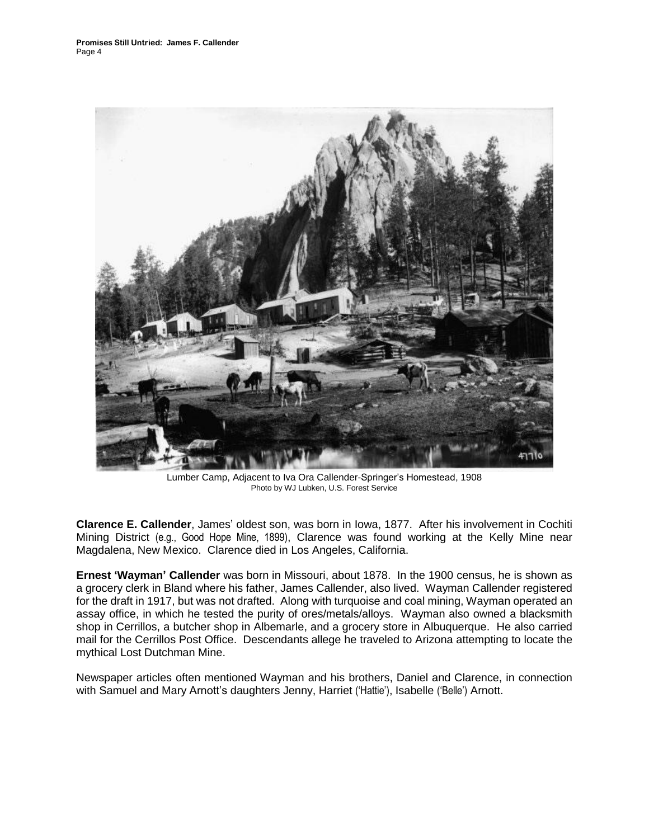

Lumber Camp, Adjacent to Iva Ora Callender-Springer's Homestead, 1908 Photo by WJ Lubken, U.S. Forest Service

Clarence E. Callender, James' oldest son, was born in Iowa, 1877. After his involvement in Cochiti Mining District (e.g., Good Hope Mine, 1899), Clarence was found working at the Kelly Mine near Magdalena, New Mexico. Clarence died in Los Angeles, California.

Ernest 'Wayman' Callender was born in Missouri, about 1878. In the 1900 census, he is shown as a grocery clerk in Bland where his father, James Callender, also lived. Wayman Callender registered for the draft in 1917, but was not drafted. Along with turquoise and coal mining, Wayman operated an assay office, in which he tested the purity of ores/metals/alloys. Wayman also owned a blacksmith shop in Cerrillos, a butcher shop in Albemarle, and a grocery store in Albuquerque. He also carried mail for the Cerrillos Post Office. Descendants allege he traveled to Arizona attempting to locate the mythical *Lost Dutchman Mine*.

Newspaper articles often mentioned Wayman and his brothers, Daniel and Clarence, in connection with Samuel and Mary Arnott's daughters Jenny, Harriet ('Hattie'), Isabelle ('Belle') Arnott.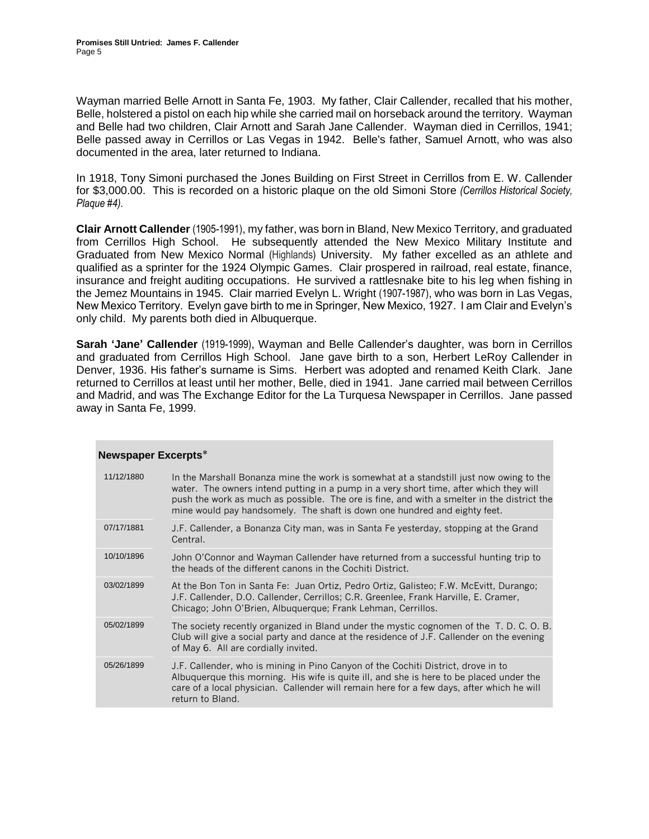Wayman married Belle Arnott in Santa Fe, 1903. My father, Clair Callender, recalled that his mother, Belle, holstered a pistol on each hip while she carried mail on horseback around the territory. Wayman and Belle had two children, Clair Arnott and Sarah Jane Callender. Wayman died in Cerrillos, 1941; Belle passed away in Cerrillos or Las Vegas in 1942. Belle's father, Samuel Arnott, who was also documented in the area, later returned to Indiana.

In 1918, Tony Simoni purchased the Jones Building on First Street in Cerrillos from E. W. Callender for \$3,000.00. This is recorded on a historic plaque on the old Simoni Store *(Cerrillos Historical Society, Plaque #4)*.

Clair Arnott Callender (1905-1991), my father, was born in Bland, New Mexico Territory, and graduated from Cerrillos High School. He subsequently attended the New Mexico Military Institute and Graduated from New Mexico Normal (Highlands) University. My father excelled as an athlete and qualified as a sprinter for the 1924 Olympic Games. Clair prospered in railroad, real estate, finance, insurance and freight auditing occupations. He survived a rattlesnake bite to his leg when fishing in the Jemez Mountains in 1945. Clair married Evelyn L. Wright (1907-1987), who was born in Las Vegas, New Mexico Territory. Evelyn gave birth to me in Springer, New Mexico, 1927. I am Clair and Evelyn's only child. My parents both died in Albuquerque.

Sarah 'Jane' Callender (1919-1999), Wayman and Belle Callender's daughter, was born in Cerrillos and graduated from Cerrillos High School. Jane gave birth to a son, Herbert LeRoy Callender in Denver, 1936. His father's surname is Sims. Herbert was adopted and renamed Keith Clark. Jane returned to Cerrillos at least until her mother, Belle, died in 1941. Jane carried mail between Cerrillos and Madrid, and was The Exchange Editor for the *La Turquesa Newspaper* in Cerrillos. Jane passed away in Santa Fe, 1999.

| 11/12/1880 | In the Marshall Bonanza mine the work is somewhat at a standstill just now owing to the<br>water. The owners intend putting in a pump in a very short time, after which they will<br>push the work as much as possible. The ore is fine, and with a smelter in the district the<br>mine would pay handsomely. The shaft is down one hundred and eighty feet. |
|------------|--------------------------------------------------------------------------------------------------------------------------------------------------------------------------------------------------------------------------------------------------------------------------------------------------------------------------------------------------------------|
| 07/17/1881 | J.F. Callender, a Bonanza City man, was in Santa Fe yesterday, stopping at the Grand<br>Central.                                                                                                                                                                                                                                                             |
| 10/10/1896 | John O'Connor and Wayman Callender have returned from a successful hunting trip to<br>the heads of the different canons in the Cochiti District.                                                                                                                                                                                                             |
| 03/02/1899 | At the Bon Ton in Santa Fe: Juan Ortiz, Pedro Ortiz, Galisteo; F.W. McEvitt, Durango;<br>J.F. Callender, D.O. Callender, Cerrillos; C.R. Greenlee, Frank Harville, E. Cramer,<br>Chicago; John O'Brien, Albuquerque; Frank Lehman, Cerrillos.                                                                                                                |
| 05/02/1899 | The society recently organized in Bland under the mystic cognomen of the T. D. C. O. B.<br>Club will give a social party and dance at the residence of J.F. Callender on the evening<br>of May 6. All are cordially invited.                                                                                                                                 |
| 05/26/1899 | J.F. Callender, who is mining in Pino Canyon of the Cochiti District, drove in to<br>Albuquerque this morning. His wife is quite ill, and she is here to be placed under the<br>care of a local physician. Callender will remain here for a few days, after which he will<br>return to Bland.                                                                |

## Newspaper Excerpts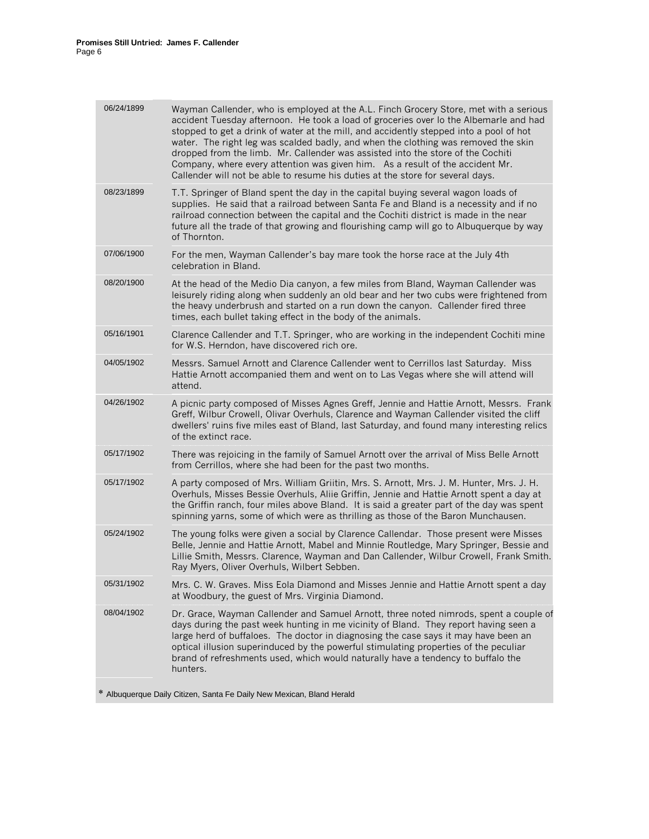| 06/24/1899 | Wayman Callender, who is employed at the A.L. Finch Grocery Store, met with a serious<br>accident Tuesday afternoon. He took a load of groceries over lo the Albemarle and had<br>stopped to get a drink of water at the mill, and accidently stepped into a pool of hot<br>water. The right leg was scalded badly, and when the clothing was removed the skin<br>dropped from the limb. Mr. Callender was assisted into the store of the Cochiti<br>Company, where every attention was given him. As a result of the accident Mr.<br>Callender will not be able to resume his duties at the store for several days. |
|------------|----------------------------------------------------------------------------------------------------------------------------------------------------------------------------------------------------------------------------------------------------------------------------------------------------------------------------------------------------------------------------------------------------------------------------------------------------------------------------------------------------------------------------------------------------------------------------------------------------------------------|
| 08/23/1899 | T.T. Springer of Bland spent the day in the capital buying several wagon loads of<br>supplies. He said that a railroad between Santa Fe and Bland is a necessity and if no<br>railroad connection between the capital and the Cochiti district is made in the near<br>future all the trade of that growing and flourishing camp will go to Albuquerque by way<br>of Thornton.                                                                                                                                                                                                                                        |
| 07/06/1900 | For the men, Wayman Callender's bay mare took the horse race at the July 4th<br>celebration in Bland.                                                                                                                                                                                                                                                                                                                                                                                                                                                                                                                |
| 08/20/1900 | At the head of the Medio Dia canyon, a few miles from Bland, Wayman Callender was<br>leisurely riding along when suddenly an old bear and her two cubs were frightened from<br>the heavy underbrush and started on a run down the canyon. Callender fired three<br>times, each bullet taking effect in the body of the animals.                                                                                                                                                                                                                                                                                      |
| 05/16/1901 | Clarence Callender and T.T. Springer, who are working in the independent Cochiti mine<br>for W.S. Herndon, have discovered rich ore.                                                                                                                                                                                                                                                                                                                                                                                                                                                                                 |
| 04/05/1902 | Messrs. Samuel Arnott and Clarence Callender went to Cerrillos last Saturday. Miss<br>Hattie Arnott accompanied them and went on to Las Vegas where she will attend will<br>attend.                                                                                                                                                                                                                                                                                                                                                                                                                                  |
| 04/26/1902 | A picnic party composed of Misses Agnes Greff, Jennie and Hattie Arnott, Messrs. Frank<br>Greff, Wilbur Crowell, Olivar Overhuls, Clarence and Wayman Callender visited the cliff<br>dwellers' ruins five miles east of Bland, last Saturday, and found many interesting relics<br>of the extinct race.                                                                                                                                                                                                                                                                                                              |
| 05/17/1902 | There was rejoicing in the family of Samuel Arnott over the arrival of Miss Belle Arnott<br>from Cerrillos, where she had been for the past two months.                                                                                                                                                                                                                                                                                                                                                                                                                                                              |
| 05/17/1902 | A party composed of Mrs. William Griitin, Mrs. S. Arnott, Mrs. J. M. Hunter, Mrs. J. H.<br>Overhuls, Misses Bessie Overhuls, Aliie Griffin, Jennie and Hattie Arnott spent a day at<br>the Griffin ranch, four miles above Bland. It is said a greater part of the day was spent<br>spinning yarns, some of which were as thrilling as those of the Baron Munchausen.                                                                                                                                                                                                                                                |
| 05/24/1902 | The young folks were given a social by Clarence Callendar. Those present were Misses<br>Belle, Jennie and Hattie Arnott, Mabel and Minnie Routledge, Mary Springer, Bessie and<br>Lillie Smith, Messrs. Clarence, Wayman and Dan Callender, Wilbur Crowell, Frank Smith.<br>Ray Myers, Oliver Overhuls, Wilbert Sebben.                                                                                                                                                                                                                                                                                              |
| 05/31/1902 | Mrs. C. W. Graves. Miss Eola Diamond and Misses Jennie and Hattie Arnott spent a day<br>at Woodbury, the guest of Mrs. Virginia Diamond.                                                                                                                                                                                                                                                                                                                                                                                                                                                                             |
| 08/04/1902 | Dr. Grace, Wayman Callender and Samuel Arnott, three noted nimrods, spent a couple of<br>days during the past week hunting in me vicinity of Bland. They report having seen a<br>large herd of buffaloes. The doctor in diagnosing the case says it may have been an<br>optical illusion superinduced by the powerful stimulating properties of the peculiar<br>brand of refreshments used, which would naturally have a tendency to buffalo the<br>hunters.                                                                                                                                                         |

Albuquerque Daily Citizen, Santa Fe Daily New Mexican, Bland Herald